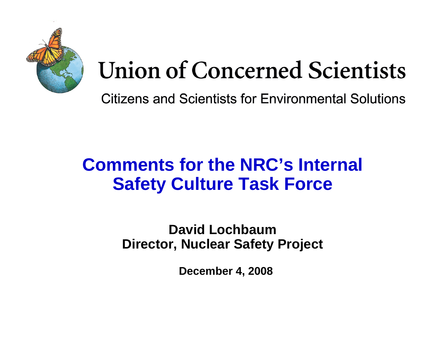

# **Union of Concerned Scientists**

Citizens and Scientists for Environmental Solutions

#### **Comments for the NRC's Internal Safety Culture Task Force**

**David LochbaumDirector, Nuclear Safety Project**

**December 4, 2008**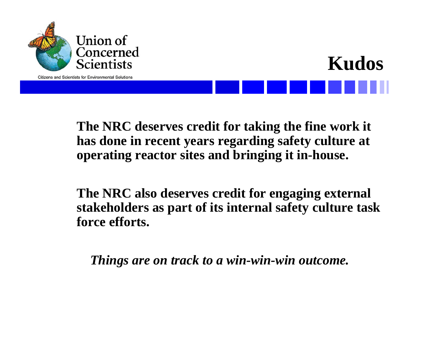

**Citizens and Scientists for Environmental Solutions** 



**The NRC deserves credit for taking the fine work it has done in recent years regarding safety culture at operating reactor sites and bringing it in-house.**

**The NRC also deserves credit for engaging external stakeholders as part of its internal safety culture task force efforts.** 

*Things are on track to a win-win-win outcome.*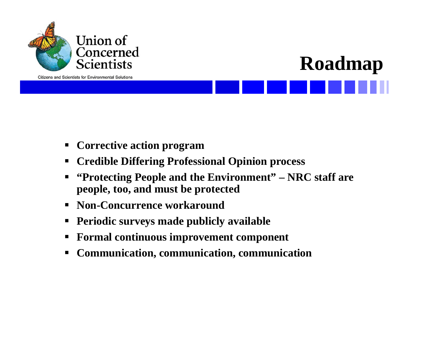



- $\blacksquare$ **Corrective action program**
- $\blacksquare$ **Credible Differing Professional Opinion process**
- $\blacksquare$  **"Protecting People and the Environment" – NRC staff are people, too, and must be protected**
- $\blacksquare$ **Non-Concurrence workaround**
- $\blacksquare$ **Periodic surveys made publicly available**
- $\blacksquare$ **Formal continuous improvement component**
- $\blacksquare$ **Communication, communication, communication**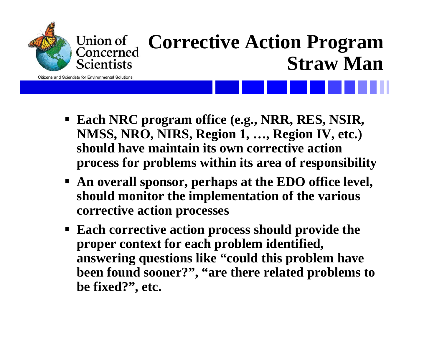

### **Corrective Action Program Straw Man**

**Citizens and Scientists for Environmental Solutions** 

- **Each NRC program office (e.g., NRR, RES, NSIR, NMSS, NRO, NIRS, Region 1, …, Region IV, etc.) should have maintain its own corrective action process for problems within its area of responsibility**
- **An overall sponsor, perhaps at the EDO office level, should monitor the implementation of the various corrective action processes**
- **Each corrective action process should provide the proper context for each problem identified, answering questions like "could this problem have been found sooner?", "are there related problems to be fixed?", etc.**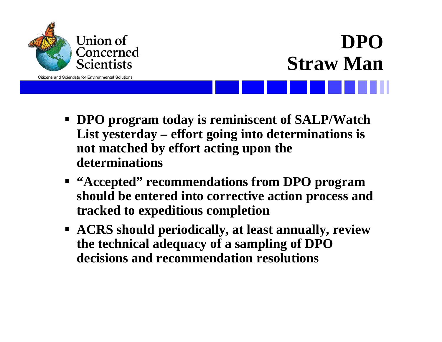

## **DPOStraw Man**

- **DPO program today is reminiscent of SALP/Watch List yesterday – effort going into determinations is not matched by effort acting upon the determinations**
- **"Accepted" recommendations from DPO program should be entered into corrective action process and tracked to expeditious completion**
- **ACRS should periodically, at least annually, review the technical adequacy of a sampling of DPO decisions and recommendation resolutions**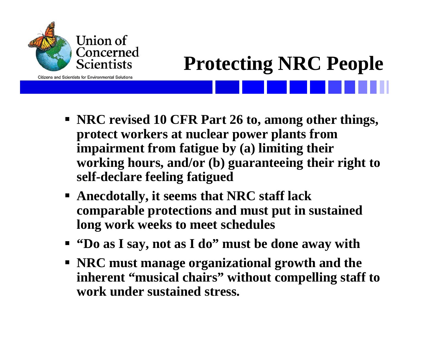

# **Protecting NRC People**

- **NRC revised 10 CFR Part 26 to, among other things, protect workers at nuclear power plants from impairment from fatigue by (a) limiting their working hours, and/or (b) guaranteeing their right to self-declare feeling fatigued**
- **Anecdotally, it seems that NRC staff lack comparable protections and must put in sustained long work weeks to meet schedules**
- **"Do as I say, not as I do" must be done away with**
- **NRC must manage organizational growth and the inherent "musical chairs" without compelling staff to work under sustained stress.**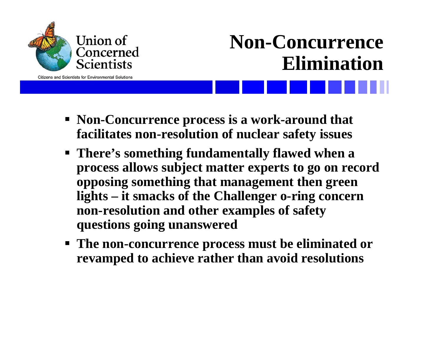

### **Non-Concurrence Elimination**

- **Non-Concurrence process is a work-around that facilitates non-resolution of nuclear safety issues**
- **There's something fundamentally flawed when a process allows subject matter experts to go on record opposing something that management then green lights – it smacks of the Challenger o-ring concern non-resolution and other examples of safety questions going unanswered**
- **The non-concurrence process must be eliminated or revamped to achieve rather than avoid resolutions**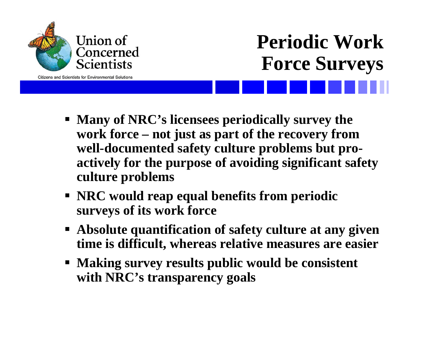

### **Periodic Work Force Surveys**

- **Many of NRC's licensees periodically survey the work force – not just as part of the recovery from well-documented safety culture problems but proactively for the purpose of avoiding significant safety culture problems**
- **NRC would reap equal benefits from periodic surveys of its work force**
- **Absolute quantification of safety culture at any given time is difficult, whereas relative measures are easier**
- **Making survey results public would be consistent with NRC's transparency goals**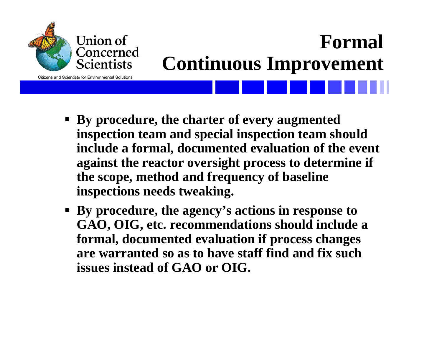

# **Formal Continuous Improvement**

- **By procedure, the charter of every augmented inspection team and special inspection team should include a formal, documented evaluation of the event against the reactor oversight process to determine if the scope, method and frequency of baseline inspections needs tweaking.**
- **By procedure, the agency's actions in response to GAO, OIG, etc. recommendations should include a formal, documented evaluation if process changes are warranted so as to have staff find and fix such issues instead of GAO or OIG.**